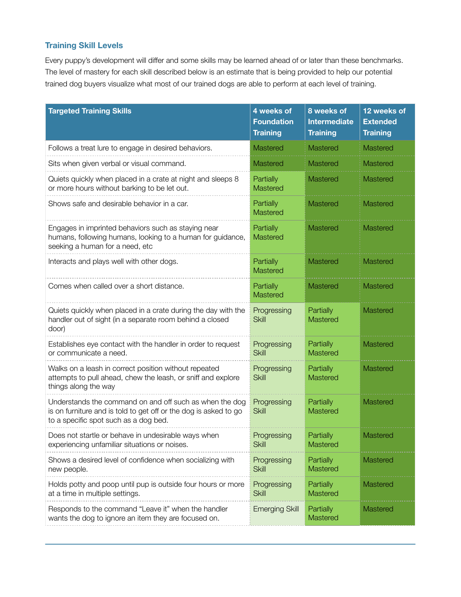## **Training Skill Levels**

Every puppy's development will differ and some skills may be learned ahead of or later than these benchmarks. The level of mastery for each skill described below is an estimate that is being provided to help our potential trained dog buyers visualize what most of our trained dogs are able to perform at each level of training.

| <b>Targeted Training Skills</b>                                                                                                                                      | 4 weeks of<br><b>Foundation</b><br><b>Training</b> | 8 weeks of<br><b>Intermediate</b><br><b>Training</b> | 12 weeks of<br><b>Extended</b><br><b>Training</b> |
|----------------------------------------------------------------------------------------------------------------------------------------------------------------------|----------------------------------------------------|------------------------------------------------------|---------------------------------------------------|
| Follows a treat lure to engage in desired behaviors.                                                                                                                 | Mastered                                           | Mastered                                             | <b>Mastered</b>                                   |
| Sits when given verbal or visual command.                                                                                                                            | <b>Mastered</b>                                    | Mastered                                             | Mastered                                          |
| Quiets quickly when placed in a crate at night and sleeps 8<br>or more hours without barking to be let out.                                                          | Partially<br><b>Mastered</b>                       | Mastered                                             | Mastered                                          |
| Shows safe and desirable behavior in a car.                                                                                                                          | Partially<br><b>Mastered</b>                       | Mastered                                             | Mastered                                          |
| Engages in imprinted behaviors such as staying near<br>humans, following humans, looking to a human for guidance,<br>seeking a human for a need, etc                 | Partially<br><b>Mastered</b>                       | Mastered                                             | <b>Mastered</b>                                   |
| Interacts and plays well with other dogs.                                                                                                                            | Partially<br><b>Mastered</b>                       | Mastered                                             | Mastered                                          |
| Comes when called over a short distance.                                                                                                                             | Partially<br><b>Mastered</b>                       | Mastered                                             | <b>Mastered</b>                                   |
| Quiets quickly when placed in a crate during the day with the<br>handler out of sight (in a separate room behind a closed<br>door)                                   | Progressing<br><b>Skill</b>                        | Partially<br>Mastered                                | <b>Mastered</b>                                   |
| Establishes eye contact with the handler in order to request<br>or communicate a need.                                                                               | Progressing<br><b>Skill</b>                        | Partially<br>Mastered                                | <b>Mastered</b>                                   |
| Walks on a leash in correct position without repeated<br>attempts to pull ahead, chew the leash, or sniff and explore<br>things along the way                        | Progressing<br><b>Skill</b>                        | Partially<br>Mastered                                | Mastered                                          |
| Understands the command on and off such as when the dog<br>is on furniture and is told to get off or the dog is asked to go<br>to a specific spot such as a dog bed. | Progressing<br><b>Skill</b>                        | Partially<br>Mastered                                | <b>Mastered</b>                                   |
| Does not startle or behave in undesirable ways when<br>experiencing unfamiliar situations or noises.                                                                 | Progressing<br><b>Skill</b>                        | Partially<br>Mastered                                | Mastered                                          |
| Shows a desired level of confidence when socializing with<br>new people.                                                                                             | Progressing<br><b>Skill</b>                        | Partially<br>Mastered                                | Mastered                                          |
| Holds potty and poop until pup is outside four hours or more<br>at a time in multiple settings.                                                                      | Progressing<br><b>Skill</b>                        | Partially<br>Mastered                                | Mastered                                          |
| Responds to the command "Leave it" when the handler<br>wants the dog to ignore an item they are focused on.                                                          | <b>Emerging Skill</b>                              | Partially<br>Mastered                                | Mastered                                          |